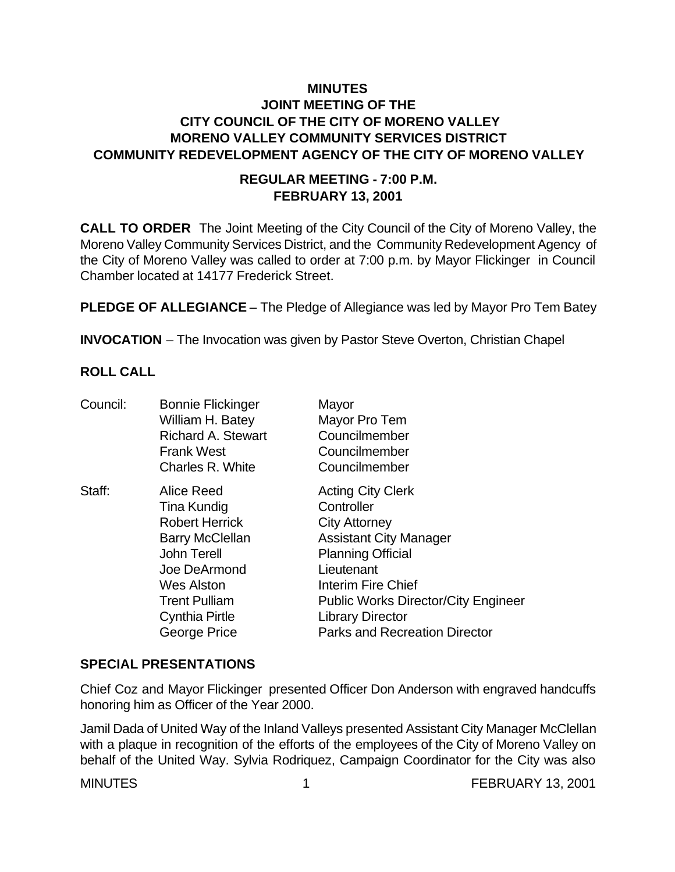# **MINUTES JOINT MEETING OF THE CITY COUNCIL OF THE CITY OF MORENO VALLEY MORENO VALLEY COMMUNITY SERVICES DISTRICT COMMUNITY REDEVELOPMENT AGENCY OF THE CITY OF MORENO VALLEY**

### **REGULAR MEETING - 7:00 P.M. FEBRUARY 13, 2001**

**CALL TO ORDER** The Joint Meeting of the City Council of the City of Moreno Valley, the Moreno Valley Community Services District, and the Community Redevelopment Agency of the City of Moreno Valley was called to order at 7:00 p.m. by Mayor Flickinger in Council Chamber located at 14177 Frederick Street.

**PLEDGE OF ALLEGIANCE** – The Pledge of Allegiance was led by Mayor Pro Tem Batey

**INVOCATION** – The Invocation was given by Pastor Steve Overton, Christian Chapel

### **ROLL CALL**

| Council: | <b>Bonnie Flickinger</b>  | Mayor                                      |
|----------|---------------------------|--------------------------------------------|
|          | William H. Batey          | Mayor Pro Tem                              |
|          | <b>Richard A. Stewart</b> | Councilmember                              |
|          | <b>Frank West</b>         | Councilmember                              |
|          | Charles R. White          | Councilmember                              |
| Staff:   | Alice Reed                | <b>Acting City Clerk</b>                   |
|          | Tina Kundig               | Controller                                 |
|          | <b>Robert Herrick</b>     | <b>City Attorney</b>                       |
|          | <b>Barry McClellan</b>    | <b>Assistant City Manager</b>              |
|          | <b>John Terell</b>        | <b>Planning Official</b>                   |
|          | Joe DeArmond              | Lieutenant                                 |
|          | <b>Wes Alston</b>         | Interim Fire Chief                         |
|          | <b>Trent Pulliam</b>      | <b>Public Works Director/City Engineer</b> |
|          | <b>Cynthia Pirtle</b>     | <b>Library Director</b>                    |
|          | George Price              | <b>Parks and Recreation Director</b>       |
|          |                           |                                            |

## **SPECIAL PRESENTATIONS**

Chief Coz and Mayor Flickinger presented Officer Don Anderson with engraved handcuffs honoring him as Officer of the Year 2000.

Jamil Dada of United Way of the Inland Valleys presented Assistant City Manager McClellan with a plaque in recognition of the efforts of the employees of the City of Moreno Valley on behalf of the United Way. Sylvia Rodriquez, Campaign Coordinator for the City was also

MINUTES 1 1 1 FEBRUARY 13, 2001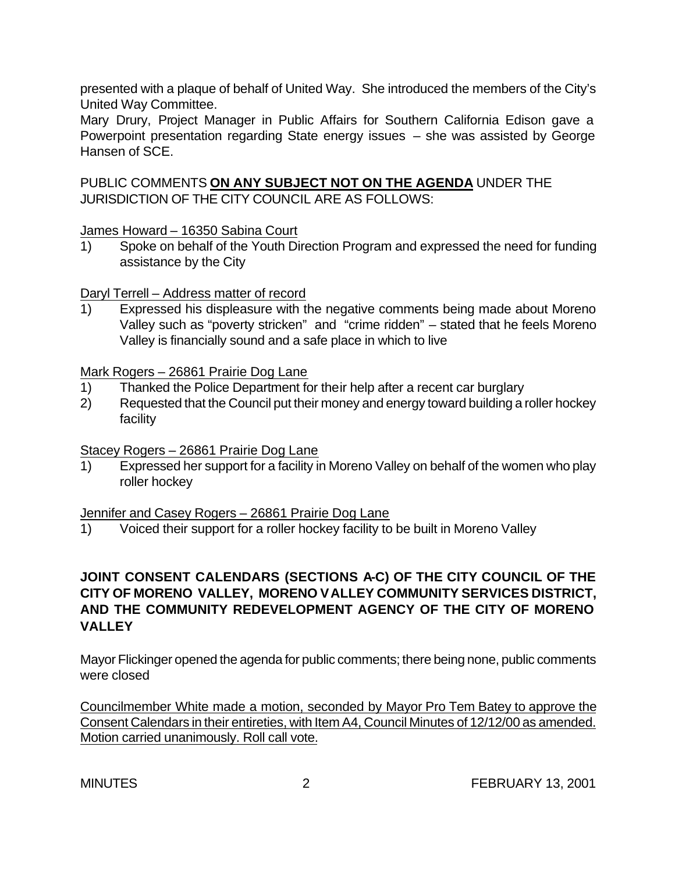presented with a plaque of behalf of United Way. She introduced the members of the City's United Way Committee.

Mary Drury, Project Manager in Public Affairs for Southern California Edison gave a Powerpoint presentation regarding State energy issues – she was assisted by George Hansen of SCE.

PUBLIC COMMENTS **ON ANY SUBJECT NOT ON THE AGENDA** UNDER THE JURISDICTION OF THE CITY COUNCIL ARE AS FOLLOWS:

James Howard – 16350 Sabina Court

1) Spoke on behalf of the Youth Direction Program and expressed the need for funding assistance by the City

Daryl Terrell – Address matter of record

1) Expressed his displeasure with the negative comments being made about Moreno Valley such as "poverty stricken" and "crime ridden" – stated that he feels Moreno Valley is financially sound and a safe place in which to live

Mark Rogers – 26861 Prairie Dog Lane

- 1) Thanked the Police Department for their help after a recent car burglary
- 2) Requested that the Council put their money and energy toward building a roller hockey facility

Stacey Rogers – 26861 Prairie Dog Lane

1) Expressed her support for a facility in Moreno Valley on behalf of the women who play roller hockey

#### Jennifer and Casey Rogers – 26861 Prairie Dog Lane

1) Voiced their support for a roller hockey facility to be built in Moreno Valley

# **JOINT CONSENT CALENDARS (SECTIONS A-C) OF THE CITY COUNCIL OF THE CITY OF MORENO VALLEY, MORENO VALLEY COMMUNITY SERVICES DISTRICT, AND THE COMMUNITY REDEVELOPMENT AGENCY OF THE CITY OF MORENO VALLEY**

Mayor Flickinger opened the agenda for public comments; there being none, public comments were closed

Councilmember White made a motion, seconded by Mayor Pro Tem Batey to approve the Consent Calendars in their entireties, with Item A4, Council Minutes of 12/12/00 as amended. Motion carried unanimously. Roll call vote.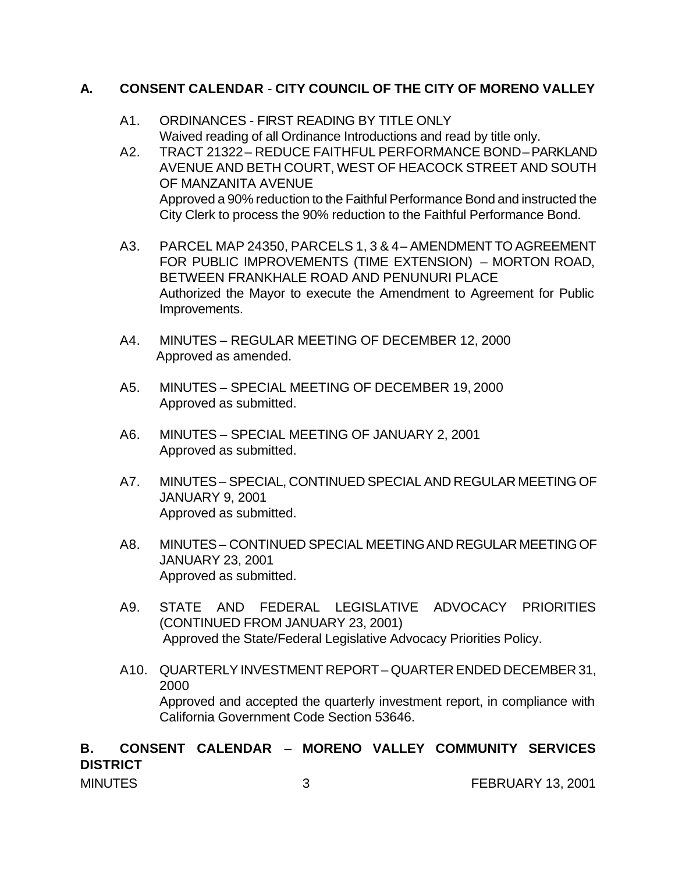## **A. CONSENT CALENDAR** - **CITY COUNCIL OF THE CITY OF MORENO VALLEY**

- A1. ORDINANCES FIRST READING BY TITLE ONLY Waived reading of all Ordinance Introductions and read by title only.
- A2. TRACT 21322 REDUCE FAITHFUL PERFORMANCE BOND PARKLAND AVENUE AND BETH COURT, WEST OF HEACOCK STREET AND SOUTH OF MANZANITA AVENUE Approved a 90% reduction to the Faithful Performance Bond and instructed the City Clerk to process the 90% reduction to the Faithful Performance Bond.
- A3. PARCEL MAP 24350, PARCELS 1, 3 & 4 AMENDMENT TO AGREEMENT FOR PUBLIC IMPROVEMENTS (TIME EXTENSION) – MORTON ROAD, BETWEEN FRANKHALE ROAD AND PENUNURI PLACE Authorized the Mayor to execute the Amendment to Agreement for Public Improvements.
- A4. MINUTES REGULAR MEETING OF DECEMBER 12, 2000 Approved as amended.
- A5. MINUTES SPECIAL MEETING OF DECEMBER 19, 2000 Approved as submitted.
- A6. MINUTES SPECIAL MEETING OF JANUARY 2, 2001 Approved as submitted.
- A7. MINUTES SPECIAL, CONTINUED SPECIAL AND REGULAR MEETING OF JANUARY 9, 2001 Approved as submitted.
- A8. MINUTES CONTINUED SPECIAL MEETING AND REGULAR MEETING OF JANUARY 23, 2001 Approved as submitted.
- A9. STATE AND FEDERAL LEGISLATIVE ADVOCACY PRIORITIES (CONTINUED FROM JANUARY 23, 2001) Approved the State/Federal Legislative Advocacy Priorities Policy.
- A10. QUARTERLY INVESTMENT REPORT QUARTER ENDED DECEMBER 31, 2000 Approved and accepted the quarterly investment report, in compliance with California Government Code Section 53646.

### MINUTES 3 3 FEBRUARY 13, 2001 **B. CONSENT CALENDAR** – **MORENO VALLEY COMMUNITY SERVICES DISTRICT**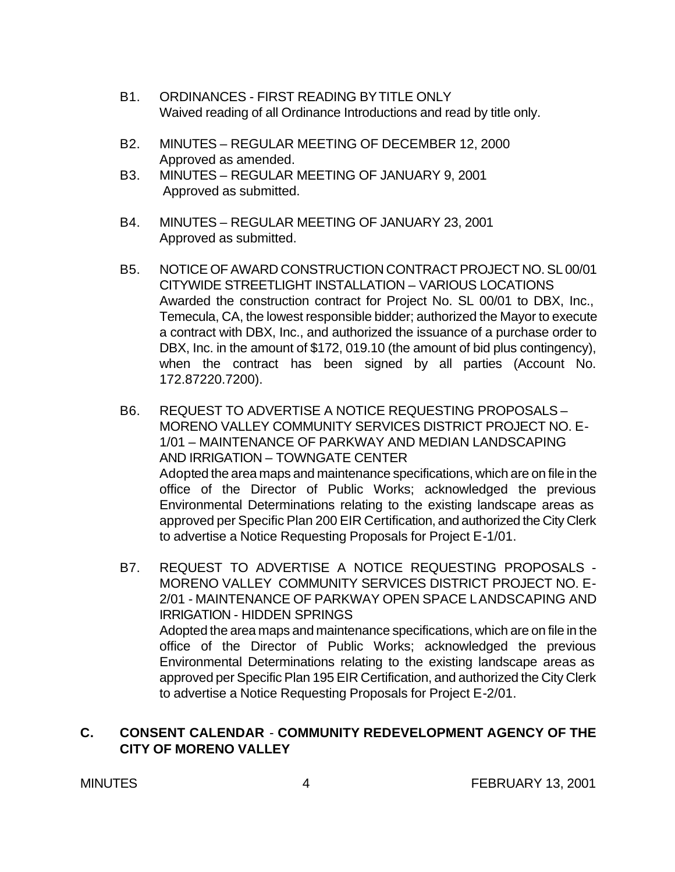- B1. ORDINANCES FIRST READING BY TITLE ONLY Waived reading of all Ordinance Introductions and read by title only.
- B2. MINUTES REGULAR MEETING OF DECEMBER 12, 2000 Approved as amended.
- B3. MINUTES REGULAR MEETING OF JANUARY 9, 2001 Approved as submitted.
- B4. MINUTES REGULAR MEETING OF JANUARY 23, 2001 Approved as submitted.
- B5. NOTICE OF AWARD CONSTRUCTION CONTRACT PROJECT NO. SL 00/01 CITYWIDE STREETLIGHT INSTALLATION – VARIOUS LOCATIONS Awarded the construction contract for Project No. SL 00/01 to DBX, Inc., Temecula, CA, the lowest responsible bidder; authorized the Mayor to execute a contract with DBX, Inc., and authorized the issuance of a purchase order to DBX, Inc. in the amount of \$172, 019.10 (the amount of bid plus contingency), when the contract has been signed by all parties (Account No. 172.87220.7200).
- B6. REQUEST TO ADVERTISE A NOTICE REQUESTING PROPOSALS MORENO VALLEY COMMUNITY SERVICES DISTRICT PROJECT NO. E-1/01 – MAINTENANCE OF PARKWAY AND MEDIAN LANDSCAPING AND IRRIGATION – TOWNGATE CENTER Adopted the area maps and maintenance specifications, which are on file in the office of the Director of Public Works; acknowledged the previous Environmental Determinations relating to the existing landscape areas as approved per Specific Plan 200 EIR Certification, and authorized the City Clerk to advertise a Notice Requesting Proposals for Project E-1/01.
- B7. REQUEST TO ADVERTISE A NOTICE REQUESTING PROPOSALS MORENO VALLEY COMMUNITY SERVICES DISTRICT PROJECT NO. E-2/01 - MAINTENANCE OF PARKWAY OPEN SPACE LANDSCAPING AND IRRIGATION - HIDDEN SPRINGS Adopted the area maps and maintenance specifications, which are on file in the office of the Director of Public Works; acknowledged the previous Environmental Determinations relating to the existing landscape areas as approved per Specific Plan 195 EIR Certification, and authorized the City Clerk to advertise a Notice Requesting Proposals for Project E-2/01.

### **C. CONSENT CALENDAR** - **COMMUNITY REDEVELOPMENT AGENCY OF THE CITY OF MORENO VALLEY**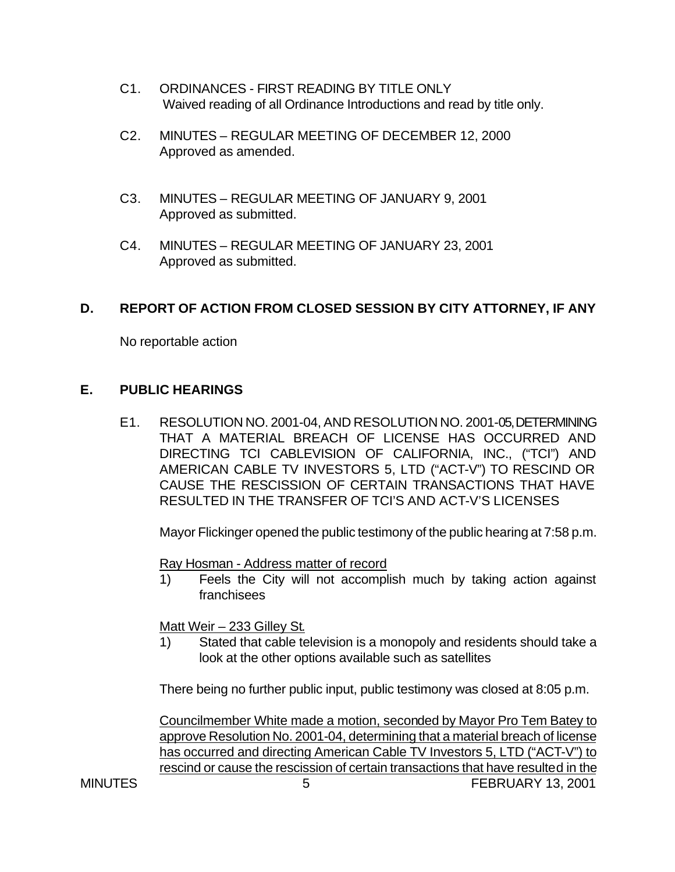- C1. ORDINANCES FIRST READING BY TITLE ONLY Waived reading of all Ordinance Introductions and read by title only.
- C2. MINUTES REGULAR MEETING OF DECEMBER 12, 2000 Approved as amended.
- C3. MINUTES REGULAR MEETING OF JANUARY 9, 2001 Approved as submitted.
- C4. MINUTES REGULAR MEETING OF JANUARY 23, 2001 Approved as submitted.

## **D. REPORT OF ACTION FROM CLOSED SESSION BY CITY ATTORNEY, IF ANY**

No reportable action

### **E. PUBLIC HEARINGS**

E1. RESOLUTION NO. 2001-04, AND RESOLUTION NO. 2001-05, DETERMINING THAT A MATERIAL BREACH OF LICENSE HAS OCCURRED AND DIRECTING TCI CABLEVISION OF CALIFORNIA, INC., ("TCI") AND AMERICAN CABLE TV INVESTORS 5, LTD ("ACT-V") TO RESCIND OR CAUSE THE RESCISSION OF CERTAIN TRANSACTIONS THAT HAVE RESULTED IN THE TRANSFER OF TCI'S AND ACT-V'S LICENSES

Mayor Flickinger opened the public testimony of the public hearing at 7:58 p.m.

Ray Hosman - Address matter of record

1) Feels the City will not accomplish much by taking action against franchisees

Matt Weir – 233 Gilley St.

1) Stated that cable television is a monopoly and residents should take a look at the other options available such as satellites

There being no further public input, public testimony was closed at 8:05 p.m.

MINUTES 5 5 FEBRUARY 13, 2001 Councilmember White made a motion, seconded by Mayor Pro Tem Batey to approve Resolution No. 2001-04, determining that a material breach of license has occurred and directing American Cable TV Investors 5, LTD ("ACT-V") to rescind or cause the rescission of certain transactions that have resulted in the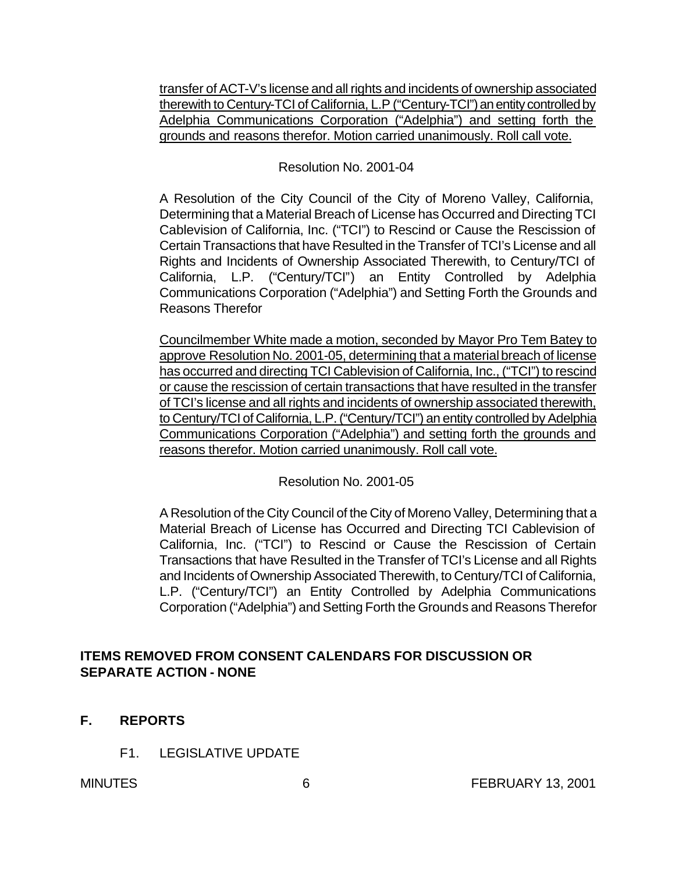transfer of ACT-V's license and all rights and incidents of ownership associated therewith to Century-TCI of California, L.P ("Century-TCI") an entity controlled by Adelphia Communications Corporation ("Adelphia") and setting forth the grounds and reasons therefor. Motion carried unanimously. Roll call vote.

### Resolution No. 2001-04

A Resolution of the City Council of the City of Moreno Valley, California, Determining that a Material Breach of License has Occurred and Directing TCI Cablevision of California, Inc. ("TCI") to Rescind or Cause the Rescission of Certain Transactions that have Resulted in the Transfer of TCI's License and all Rights and Incidents of Ownership Associated Therewith, to Century/TCI of California, L.P. ("Century/TCI") an Entity Controlled by Adelphia Communications Corporation ("Adelphia") and Setting Forth the Grounds and Reasons Therefor

Councilmember White made a motion, seconded by Mayor Pro Tem Batey to approve Resolution No. 2001-05, determining that a material breach of license has occurred and directing TCI Cablevision of California, Inc., ("TCI") to rescind or cause the rescission of certain transactions that have resulted in the transfer of TCI's license and all rights and incidents of ownership associated therewith, to Century/TCI of California, L.P. ("Century/TCI") an entity controlled by Adelphia Communications Corporation ("Adelphia") and setting forth the grounds and reasons therefor. Motion carried unanimously. Roll call vote.

Resolution No. 2001-05

A Resolution of the City Council of the City of Moreno Valley, Determining that a Material Breach of License has Occurred and Directing TCI Cablevision of California, Inc. ("TCI") to Rescind or Cause the Rescission of Certain Transactions that have Resulted in the Transfer of TCI's License and all Rights and Incidents of Ownership Associated Therewith, to Century/TCI of California, L.P. ("Century/TCI") an Entity Controlled by Adelphia Communications Corporation ("Adelphia") and Setting Forth the Grounds and Reasons Therefor

## **ITEMS REMOVED FROM CONSENT CALENDARS FOR DISCUSSION OR SEPARATE ACTION - NONE**

- **F. REPORTS**
	- F1. LEGISLATIVE UPDATE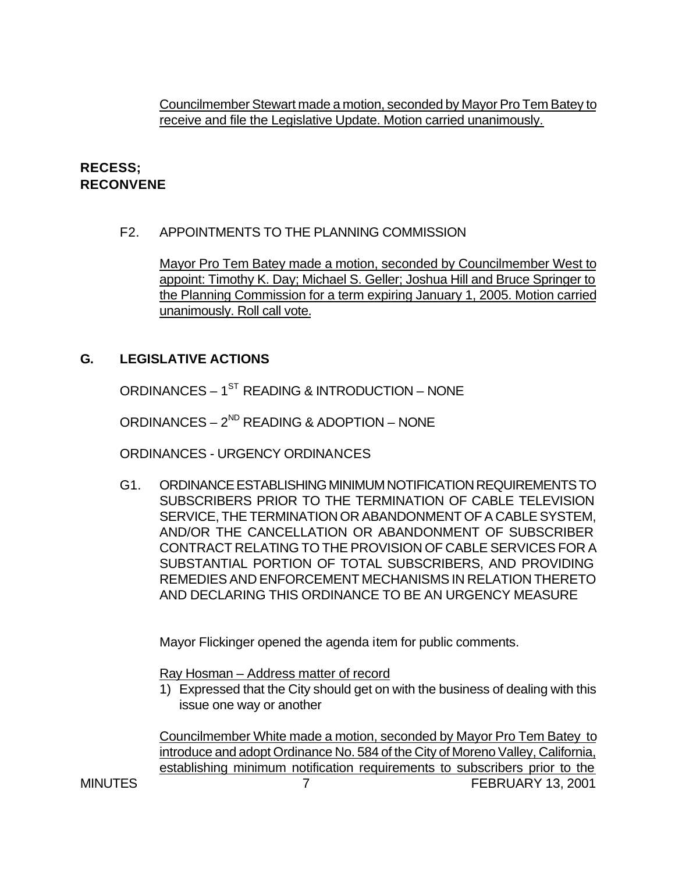Councilmember Stewart made a motion, seconded by Mayor Pro Tem Batey to receive and file the Legislative Update. Motion carried unanimously.

# **RECESS; RECONVENE**

### F2. APPOINTMENTS TO THE PLANNING COMMISSION

Mayor Pro Tem Batey made a motion, seconded by Councilmember West to appoint: Timothy K. Day; Michael S. Geller; Joshua Hill and Bruce Springer to the Planning Commission for a term expiring January 1, 2005. Motion carried unanimously. Roll call vote.

# **G. LEGISLATIVE ACTIONS**

ORDINANCES –  $1^{ST}$  READING & INTRODUCTION – NONE

ORDINANCES –  $2^{ND}$  READING & ADOPTION – NONE

ORDINANCES - URGENCY ORDINANCES

G1. ORDINANCE ESTABLISHING MINIMUM NOTIFICATION REQUIREMENTS TO SUBSCRIBERS PRIOR TO THE TERMINATION OF CABLE TELEVISION SERVICE, THE TERMINATION OR ABANDONMENT OF A CABLE SYSTEM, AND/OR THE CANCELLATION OR ABANDONMENT OF SUBSCRIBER CONTRACT RELATING TO THE PROVISION OF CABLE SERVICES FOR A SUBSTANTIAL PORTION OF TOTAL SUBSCRIBERS, AND PROVIDING REMEDIES AND ENFORCEMENT MECHANISMS IN RELATION THERETO AND DECLARING THIS ORDINANCE TO BE AN URGENCY MEASURE

Mayor Flickinger opened the agenda item for public comments.

Ray Hosman – Address matter of record

1) Expressed that the City should get on with the business of dealing with this issue one way or another

MINUTES 7 7 FEBRUARY 13, 2001 Councilmember White made a motion, seconded by Mayor Pro Tem Batey to introduce and adopt Ordinance No. 584 of the City of Moreno Valley, California, establishing minimum notification requirements to subscribers prior to the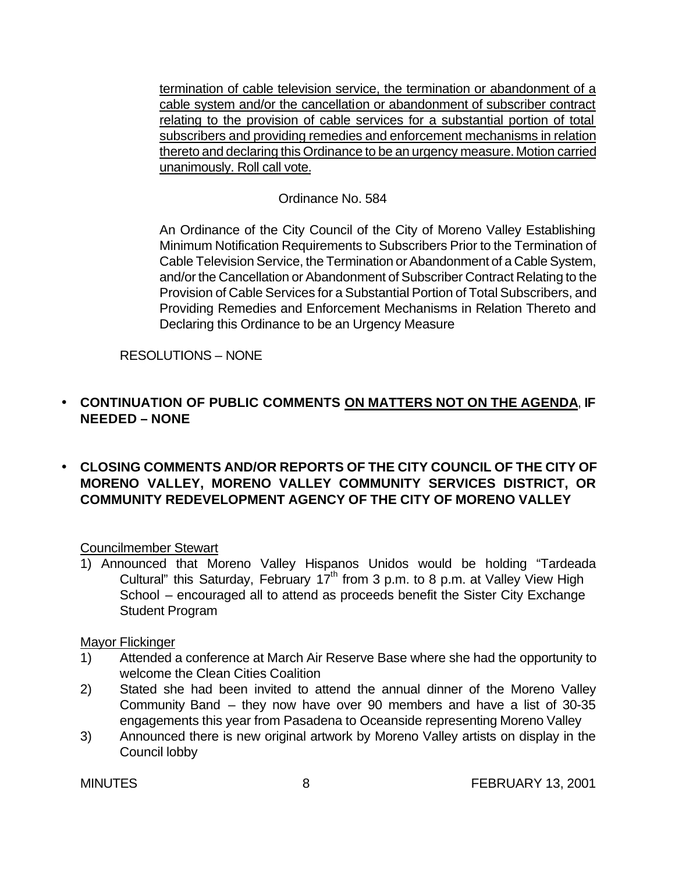termination of cable television service, the termination or abandonment of a cable system and/or the cancellation or abandonment of subscriber contract relating to the provision of cable services for a substantial portion of total subscribers and providing remedies and enforcement mechanisms in relation thereto and declaring this Ordinance to be an urgency measure. Motion carried unanimously. Roll call vote.

## Ordinance No. 584

An Ordinance of the City Council of the City of Moreno Valley Establishing Minimum Notification Requirements to Subscribers Prior to the Termination of Cable Television Service, the Termination or Abandonment of a Cable System, and/or the Cancellation or Abandonment of Subscriber Contract Relating to the Provision of Cable Services for a Substantial Portion of Total Subscribers, and Providing Remedies and Enforcement Mechanisms in Relation Thereto and Declaring this Ordinance to be an Urgency Measure

### RESOLUTIONS – NONE

## • **CONTINUATION OF PUBLIC COMMENTS ON MATTERS NOT ON THE AGENDA**, **IF NEEDED – NONE**

# • **CLOSING COMMENTS AND/OR REPORTS OF THE CITY COUNCIL OF THE CITY OF MORENO VALLEY, MORENO VALLEY COMMUNITY SERVICES DISTRICT, OR COMMUNITY REDEVELOPMENT AGENCY OF THE CITY OF MORENO VALLEY**

#### Councilmember Stewart

1) Announced that Moreno Valley Hispanos Unidos would be holding "Tardeada Cultural" this Saturday, February 17<sup>th</sup> from 3 p.m. to 8 p.m. at Valley View High School – encouraged all to attend as proceeds benefit the Sister City Exchange Student Program

#### Mayor Flickinger

- 1) Attended a conference at March Air Reserve Base where she had the opportunity to welcome the Clean Cities Coalition
- 2) Stated she had been invited to attend the annual dinner of the Moreno Valley Community Band – they now have over 90 members and have a list of 30-35 engagements this year from Pasadena to Oceanside representing Moreno Valley
- 3) Announced there is new original artwork by Moreno Valley artists on display in the Council lobby